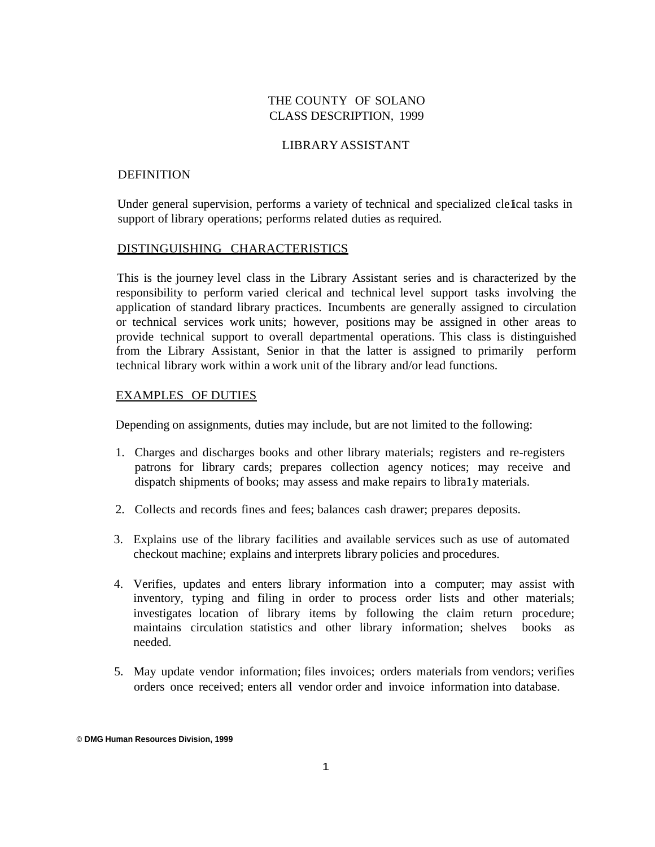## THE COUNTY OF SOLANO CLASS DESCRIPTION, 1999

## LIBRARY ASSISTANT

### DEFINITION

Under general supervision, performs a variety of technical and specialized clefical tasks in support of library operations; performs related duties as required.

#### DISTINGUISHING CHARACTERISTICS

This is the journey level class in the Library Assistant series and is characterized by the responsibility to perform varied clerical and technical level support tasks involving the application of standard library practices. Incumbents are generally assigned to circulation or technical services work units; however, positions may be assigned in other areas to provide technical support to overall departmental operations. This class is distinguished from the Library Assistant, Senior in that the latter is assigned to primarily perform technical library work within a work unit of the library and/or lead functions.

## EXAMPLES OF DUTIES

Depending on assignments, duties may include, but are not limited to the following:

- 1. Charges and discharges books and other library materials; registers and re-registers patrons for library cards; prepares collection agency notices; may receive and dispatch shipments of books; may assess and make repairs to libra1y materials.
- 2. Collects and records fines and fees; balances cash drawer; prepares deposits.
- 3. Explains use of the library facilities and available services such as use of automated checkout machine; explains and interprets library policies and procedures.
- 4. Verifies, updates and enters library information into a computer; may assist with inventory, typing and filing in order to process order lists and other materials; investigates location of library items by following the claim return procedure; maintains circulation statistics and other library information; shelves books as needed.
- 5. May update vendor information; files invoices; orders materials from vendors; verifies orders once received; enters all vendor order and invoice information into database.

<sup>©</sup> **DMG Human Resources Division, 1999**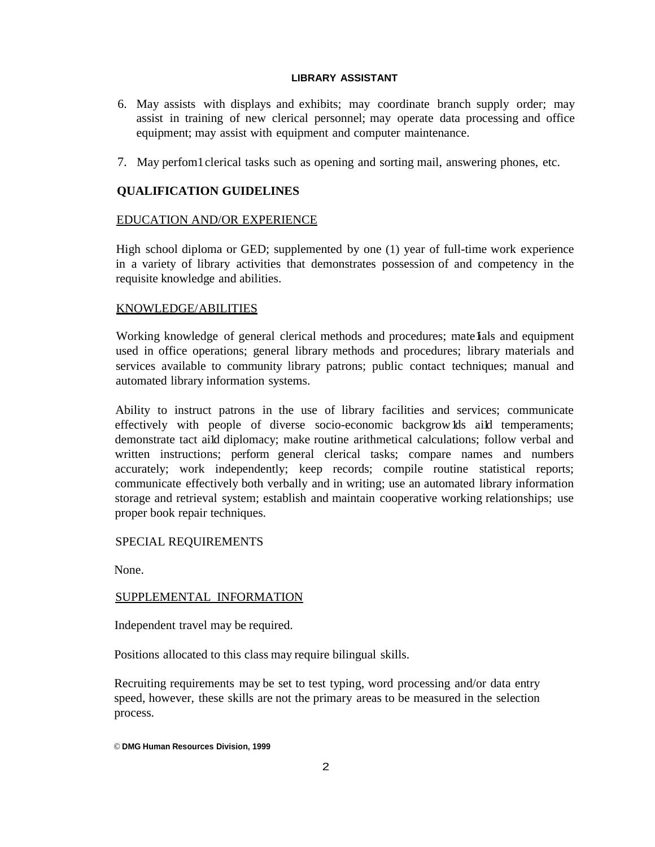### **LIBRARY ASSISTANT**

- 6. May assists with displays and exhibits; may coordinate branch supply order; may assist in training of new clerical personnel; may operate data processing and office equipment; may assist with equipment and computer maintenance.
- 7. May perfom1clerical tasks such as opening and sorting mail, answering phones, etc.

# **QUALIFICATION GUIDELINES**

## EDUCATION AND/OR EXPERIENCE

High school diploma or GED; supplemented by one (1) year of full-time work experience in a variety of library activities that demonstrates possession of and competency in the requisite knowledge and abilities.

## KNOWLEDGE/ABILITIES

Working knowledge of general clerical methods and procedures; mate als and equipment used in office operations; general library methods and procedures; library materials and services available to community library patrons; public contact techniques; manual and automated library information systems.

Ability to instruct patrons in the use of library facilities and services; communicate effectively with people of diverse socio-economic backgrow lds aild temperaments; demonstrate tact ai1d diplomacy; make routine arithmetical calculations; follow verbal and written instructions; perform general clerical tasks; compare names and numbers accurately; work independently; keep records; compile routine statistical reports; communicate effectively both verbally and in writing; use an automated library information storage and retrieval system; establish and maintain cooperative working relationships; use proper book repair techniques.

# SPECIAL REQUIREMENTS

None.

## SUPPLEMENTAL INFORMATION

Independent travel may be required.

Positions allocated to this class may require bilingual skills.

Recruiting requirements may be set to test typing, word processing and/or data entry speed, however, these skills are not the primary areas to be measured in the selection process.

© **DMG Human Resources Division, 1999**